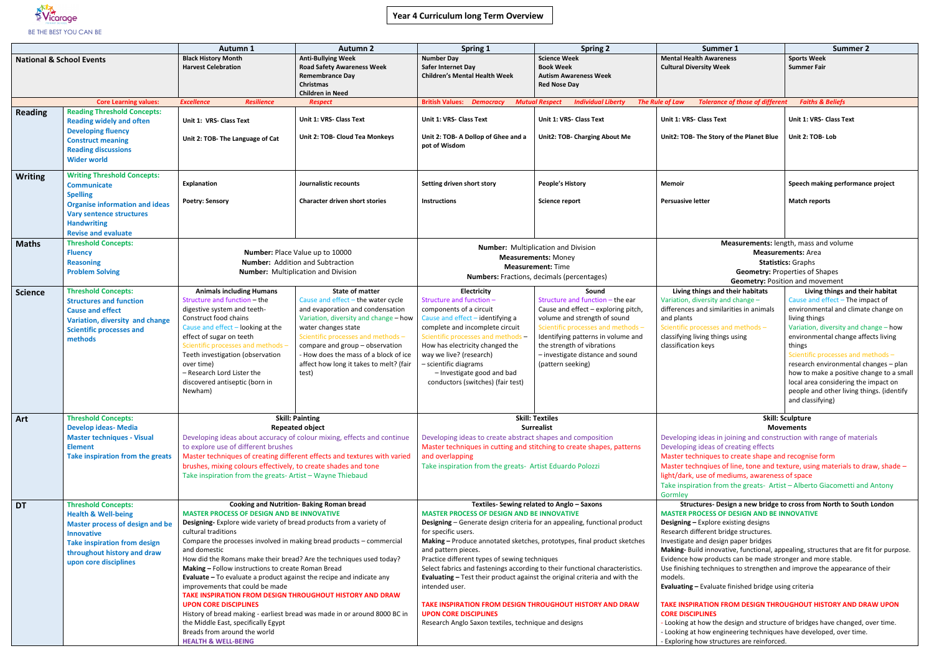

| Summer 1                                                                              | <b>Summer 2</b>                                                                  |  |  |  |  |
|---------------------------------------------------------------------------------------|----------------------------------------------------------------------------------|--|--|--|--|
| <b>Mental Health Awareness</b>                                                        | <b>Sports Week</b>                                                               |  |  |  |  |
| <b>Cultural Diversity Week</b>                                                        | Summer Fair                                                                      |  |  |  |  |
|                                                                                       |                                                                                  |  |  |  |  |
|                                                                                       |                                                                                  |  |  |  |  |
| e of Law<br><b>Tolerance of those of different</b>                                    | <b>Faiths &amp; Beliefs</b>                                                      |  |  |  |  |
| Unit 1: VRS- Class Text                                                               | Unit 1: VRS- Class Text                                                          |  |  |  |  |
| Unit2: TOB- The Story of the Planet Blue                                              | Unit 2: TOB- Lob                                                                 |  |  |  |  |
|                                                                                       |                                                                                  |  |  |  |  |
|                                                                                       |                                                                                  |  |  |  |  |
|                                                                                       |                                                                                  |  |  |  |  |
| Memoir                                                                                | Speech making performance project                                                |  |  |  |  |
| <b>Persuasive letter</b>                                                              | <b>Match reports</b>                                                             |  |  |  |  |
|                                                                                       |                                                                                  |  |  |  |  |
|                                                                                       |                                                                                  |  |  |  |  |
|                                                                                       |                                                                                  |  |  |  |  |
|                                                                                       | <b>Measurements:</b> length, mass and volume                                     |  |  |  |  |
|                                                                                       | <b>Measurements: Area</b>                                                        |  |  |  |  |
|                                                                                       | <b>Statistics: Graphs</b>                                                        |  |  |  |  |
|                                                                                       | <b>Geometry: Properties of Shapes</b>                                            |  |  |  |  |
|                                                                                       | <b>Geometry: Position and movement</b>                                           |  |  |  |  |
| Living things and their habitats<br>Variation, diversity and change -                 | Living things and their habitat<br>Cause and effect - The impact of              |  |  |  |  |
| differences and similarities in animals                                               | environmental and climate change on                                              |  |  |  |  |
| and plants                                                                            | living things                                                                    |  |  |  |  |
| Scientific processes and methods -                                                    | Variation, diversity and change - how                                            |  |  |  |  |
| classifying living things using                                                       | environmental change affects living                                              |  |  |  |  |
| classification keys                                                                   | things                                                                           |  |  |  |  |
|                                                                                       | Scientific processes and methods -                                               |  |  |  |  |
|                                                                                       | research environmental changes - plan                                            |  |  |  |  |
|                                                                                       | how to make a positive change to a small<br>local area considering the impact on |  |  |  |  |
|                                                                                       | people and other living things. (identify                                        |  |  |  |  |
|                                                                                       | and classifying)                                                                 |  |  |  |  |
|                                                                                       |                                                                                  |  |  |  |  |
|                                                                                       | <b>Skill: Sculpture</b><br><b>Movements</b>                                      |  |  |  |  |
| Developing ideas in joining and construction with range of materials                  |                                                                                  |  |  |  |  |
| Developing ideas of creating effects                                                  |                                                                                  |  |  |  |  |
| Master techniques to create shape and recognise form                                  |                                                                                  |  |  |  |  |
| Master technqiues of line, tone and texture, using materials to draw, shade -         |                                                                                  |  |  |  |  |
| light/dark, use of mediums, awareness of space                                        |                                                                                  |  |  |  |  |
| Take inspiration from the greats- Artist - Alberto Giacometti and Antony              |                                                                                  |  |  |  |  |
| Gormlev                                                                               |                                                                                  |  |  |  |  |
| <b>MASTER PROCESS OF DESIGN AND BE INNOVATIVE</b>                                     | Structures- Design a new bridge to cross from North to South London              |  |  |  |  |
| <b>Designing - Explore existing designs</b>                                           |                                                                                  |  |  |  |  |
| Research different bridge structures.                                                 |                                                                                  |  |  |  |  |
| Investigate and design paper bridges                                                  |                                                                                  |  |  |  |  |
| Making- Build innovative, functional, appealing, structures that are fit for purpose. |                                                                                  |  |  |  |  |
| Evidence how products can be made stronger and more stable.                           |                                                                                  |  |  |  |  |
| Use finishing techniques to strengthen and improve the appearance of their            |                                                                                  |  |  |  |  |
| models.<br>Evaluating - Evaluate finished bridge using criteria                       |                                                                                  |  |  |  |  |
|                                                                                       |                                                                                  |  |  |  |  |
| TAKE INSPIRATION FROM DESIGN THROUGHOUT HISTORY AND DRAW UPON                         |                                                                                  |  |  |  |  |
| <b>CORE DISCIPLINES</b>                                                               |                                                                                  |  |  |  |  |
| - Looking at how the design and structure of bridges have changed, over time.         |                                                                                  |  |  |  |  |
| - Looking at how engineering techniques have developed, over time.                    |                                                                                  |  |  |  |  |

|                                     |                                                                                                                                                                                                                            |                                                                                                                                                                                                                                                                                                                                                                                                                                                                                                                                                                                                                                                                                                                                                                                                                      | <b>Autumn 2</b>                                                                                                                                                                                                                                                                                                                        |                                                                                                                                                                                                                                                                                                                                                                                                                                                                                                                                                                                                                                                                                                   |                                                                                                                                                                                                                                                                                     |                                                                                                                                                                                                                                                                                                                                                                                                                                                                                                                                                                                                                                                                                                                                                                                                                                |                                                                                                                                                                                                                                                                                                                                                    |
|-------------------------------------|----------------------------------------------------------------------------------------------------------------------------------------------------------------------------------------------------------------------------|----------------------------------------------------------------------------------------------------------------------------------------------------------------------------------------------------------------------------------------------------------------------------------------------------------------------------------------------------------------------------------------------------------------------------------------------------------------------------------------------------------------------------------------------------------------------------------------------------------------------------------------------------------------------------------------------------------------------------------------------------------------------------------------------------------------------|----------------------------------------------------------------------------------------------------------------------------------------------------------------------------------------------------------------------------------------------------------------------------------------------------------------------------------------|---------------------------------------------------------------------------------------------------------------------------------------------------------------------------------------------------------------------------------------------------------------------------------------------------------------------------------------------------------------------------------------------------------------------------------------------------------------------------------------------------------------------------------------------------------------------------------------------------------------------------------------------------------------------------------------------------|-------------------------------------------------------------------------------------------------------------------------------------------------------------------------------------------------------------------------------------------------------------------------------------|--------------------------------------------------------------------------------------------------------------------------------------------------------------------------------------------------------------------------------------------------------------------------------------------------------------------------------------------------------------------------------------------------------------------------------------------------------------------------------------------------------------------------------------------------------------------------------------------------------------------------------------------------------------------------------------------------------------------------------------------------------------------------------------------------------------------------------|----------------------------------------------------------------------------------------------------------------------------------------------------------------------------------------------------------------------------------------------------------------------------------------------------------------------------------------------------|
| <b>National &amp; School Events</b> |                                                                                                                                                                                                                            | Autumn 1<br><b>Black History Month</b><br><b>Harvest Celebration</b>                                                                                                                                                                                                                                                                                                                                                                                                                                                                                                                                                                                                                                                                                                                                                 | <b>Anti-Bullying Week</b><br><b>Road Safety Awareness Week</b><br><b>Remembrance Day</b><br><b>Christmas</b><br><b>Children in Need</b>                                                                                                                                                                                                | <b>Spring 1</b><br><b>Number Day</b><br>Safer Internet Day<br><b>Children's Mental Health Week</b>                                                                                                                                                                                                                                                                                                                                                                                                                                                                                                                                                                                                | <b>Spring 2</b><br><b>Science Week</b><br><b>Book Week</b><br><b>Autism Awareness Week</b><br><b>Red Nose Day</b>                                                                                                                                                                   | Summer 1<br><b>Mental Health Awareness</b><br><b>Cultural Diversity Week</b>                                                                                                                                                                                                                                                                                                                                                                                                                                                                                                                                                                                                                                                                                                                                                   | <b>Summer 2</b><br><b>Sports Week</b><br><b>Summer Fair</b>                                                                                                                                                                                                                                                                                        |
|                                     | <b>Core Learning values:</b>                                                                                                                                                                                               | <b>Excellence</b><br><b>Resilience</b>                                                                                                                                                                                                                                                                                                                                                                                                                                                                                                                                                                                                                                                                                                                                                                               | <b>Respect</b>                                                                                                                                                                                                                                                                                                                         | <b>British Values: Democracy</b>                                                                                                                                                                                                                                                                                                                                                                                                                                                                                                                                                                                                                                                                  | <b>Individual Liberty</b><br><b>Mutual Respect</b>                                                                                                                                                                                                                                  | <b>The Rule of Law</b><br><b>Tolerance of those of different</b>                                                                                                                                                                                                                                                                                                                                                                                                                                                                                                                                                                                                                                                                                                                                                               | <b>Faiths &amp; Beliefs</b>                                                                                                                                                                                                                                                                                                                        |
| <b>Reading</b>                      | <b>Reading Threshold Concepts:</b><br><b>Reading widely and often</b><br><b>Developing fluency</b><br><b>Construct meaning</b><br><b>Reading discussions</b><br><b>Wider world</b>                                         | Unit 1: VRS- Class Text<br>Unit 2: TOB- The Language of Cat                                                                                                                                                                                                                                                                                                                                                                                                                                                                                                                                                                                                                                                                                                                                                          | Unit 1: VRS- Class Text<br>Unit 2: TOB- Cloud Tea Monkeys                                                                                                                                                                                                                                                                              | Unit 1: VRS- Class Text<br>Unit 2: TOB- A Dollop of Ghee and a<br>pot of Wisdom                                                                                                                                                                                                                                                                                                                                                                                                                                                                                                                                                                                                                   | Unit 1: VRS- Class Text<br>Unit2: TOB- Charging About Me                                                                                                                                                                                                                            | Unit 1: VRS- Class Text<br>Unit2: TOB- The Story of the Planet Blue                                                                                                                                                                                                                                                                                                                                                                                                                                                                                                                                                                                                                                                                                                                                                            | Unit 1: VRS- Class Text<br>Unit 2: TOB-Lob                                                                                                                                                                                                                                                                                                         |
| <b>Writing</b>                      | <b>Writing Threshold Concepts:</b><br><b>Communicate</b><br><b>Spelling</b><br><b>Organise information and ideas</b><br><b>Vary sentence structures</b><br><b>Handwriting</b><br><b>Revise and evaluate</b>                | <b>Explanation</b><br><b>Poetry: Sensory</b>                                                                                                                                                                                                                                                                                                                                                                                                                                                                                                                                                                                                                                                                                                                                                                         | Journalistic recounts<br><b>Character driven short stories</b>                                                                                                                                                                                                                                                                         | Setting driven short story<br><b>Instructions</b>                                                                                                                                                                                                                                                                                                                                                                                                                                                                                                                                                                                                                                                 | <b>People's History</b><br>Science report                                                                                                                                                                                                                                           | Memoir<br><b>Persuasive letter</b>                                                                                                                                                                                                                                                                                                                                                                                                                                                                                                                                                                                                                                                                                                                                                                                             | Speech making performanc<br><b>Match reports</b>                                                                                                                                                                                                                                                                                                   |
| <b>Maths</b>                        | <b>Threshold Concepts:</b><br><b>Fluency</b><br><b>Reasoning</b><br><b>Problem Solving</b>                                                                                                                                 | Number: Place Value up to 10000<br><b>Number:</b> Addition and Subtraction<br><b>Number:</b> Multiplication and Division                                                                                                                                                                                                                                                                                                                                                                                                                                                                                                                                                                                                                                                                                             |                                                                                                                                                                                                                                                                                                                                        | <b>Number:</b> Multiplication and Division<br><b>Measurements: Money</b><br><b>Measurement: Time</b><br><b>Numbers:</b> Fractions, decimals (percentages)                                                                                                                                                                                                                                                                                                                                                                                                                                                                                                                                         |                                                                                                                                                                                                                                                                                     | Measurements: length, mass and volume<br><b>Measurements: Area</b><br><b>Statistics: Graphs</b><br><b>Geometry: Properties of Shapes</b><br><b>Geometry: Position and movement</b>                                                                                                                                                                                                                                                                                                                                                                                                                                                                                                                                                                                                                                             |                                                                                                                                                                                                                                                                                                                                                    |
| <b>Science</b>                      | <b>Threshold Concepts:</b><br><b>Structures and function</b><br><b>Cause and effect</b><br>Variation, diversity and change<br><b>Scientific processes and</b><br>methods                                                   | <b>Animals including Humans</b><br>Structure and function - the<br>digestive system and teeth-<br>Construct food chains<br>Cause and effect - looking at the<br>effect of sugar on teeth<br>Scientific processes and methods -<br>Teeth investigation (observation<br>over time)<br>- Research Lord Lister the<br>discovered antiseptic (born in<br>Newham)                                                                                                                                                                                                                                                                                                                                                                                                                                                          | <b>State of matter</b><br>Cause and effect - the water cycle<br>and evaporation and condensation<br>Variation, diversity and change - how<br>water changes state<br>Scientific processes and methods -<br>compare and group - observation<br>- How does the mass of a block of ice<br>affect how long it takes to melt? (fair<br>test) | Electricity<br>Structure and function -<br>components of a circuit<br>Cause and effect - identifying a<br>complete and incomplete circuit<br>Scientific processes and methods -<br>How has electricity changed the<br>way we live? (research)<br>- scientific diagrams<br>- Investigate good and bad<br>conductors (switches) (fair test)                                                                                                                                                                                                                                                                                                                                                         | Sound<br>Structure and function - the ear<br>Cause and effect - exploring pitch,<br>volume and strength of sound<br>Scientific processes and methods -<br>Identifying patterns in volume and<br>the strength of vibrations<br>- investigate distance and sound<br>(pattern seeking) | Living things and their habitats<br>Variation, diversity and change -<br>differences and similarities in animals<br>and plants<br>Scientific processes and methods -<br>classifying living things using<br>classification keys                                                                                                                                                                                                                                                                                                                                                                                                                                                                                                                                                                                                 | Living things and the<br>Cause and effect - The imp<br>environmental and climate<br>living things<br>Variation, diversity and cha<br>environmental change affe<br>things<br>Scientific processes and m<br>research environmental ch<br>how to make a positive cha<br>local area considering the<br>people and other living thi<br>and classifying) |
| Art                                 | <b>Threshold Concepts:</b><br><b>Develop ideas- Media</b><br><b>Master techniques - Visual</b><br><b>Element</b><br>Take inspiration from the greats                                                                       | <b>Skill: Painting</b><br><b>Repeated object</b><br>Developing ideas about accuracy of colour mixing, effects and continue<br>to explore use of different brushes<br>Master techniques of creating different effects and textures with varied<br>brushes, mixing colours effectively, to create shades and tone<br>Take inspiration from the greats-Artist - Wayne Thiebaud                                                                                                                                                                                                                                                                                                                                                                                                                                          |                                                                                                                                                                                                                                                                                                                                        | <b>Skill: Textiles</b><br><b>Surrealist</b><br>Developing ideas to create abstract shapes and composition<br>Master techniques in cutting and stitching to create shapes, patterns<br>and overlapping<br>Take inspiration from the greats- Artist Eduardo Polozzi                                                                                                                                                                                                                                                                                                                                                                                                                                 |                                                                                                                                                                                                                                                                                     | <b>Skill: Sculpture</b><br><b>Movements</b><br>Developing ideas in joining and construction with range of materi<br>Developing ideas of creating effects<br>Master techniques to create shape and recognise form<br>Master technqiues of line, tone and texture, using materials to dr<br>light/dark, use of mediums, awareness of space<br>Take inspiration from the greats- Artist - Alberto Giacometti and<br>Gormley                                                                                                                                                                                                                                                                                                                                                                                                       |                                                                                                                                                                                                                                                                                                                                                    |
| <b>DT</b>                           | <b>Threshold Concepts:</b><br><b>Health &amp; Well-being</b><br><b>Master process of design and be</b><br><b>Innovative</b><br><b>Take inspiration from design</b><br>throughout history and draw<br>upon core disciplines | <b>Cooking and Nutrition- Baking Roman bread</b><br><b>MASTER PROCESS OF DESIGN AND BE INNOVATIVE</b><br>Designing-Explore wide variety of bread products from a variety of<br>cultural traditions<br>Compare the processes involved in making bread products - commercial<br>and domestic<br>How did the Romans make their bread? Are the techniques used today?<br>Making - Follow instructions to create Roman Bread<br>Evaluate - To evaluate a product against the recipe and indicate any<br>improvements that could be made<br>TAKE INSPIRATION FROM DESIGN THROUGHOUT HISTORY AND DRAW<br><b>UPON CORE DISCIPLINES</b><br>History of bread making - earliest bread was made in or around 8000 BC in<br>the Middle East, specifically Egypt<br>Breads from around the world<br><b>HEALTH &amp; WELL-BEING</b> |                                                                                                                                                                                                                                                                                                                                        | Textiles- Sewing related to Anglo - Saxons<br><b>MASTER PROCESS OF DESIGN AND BE INNOVATIVE</b><br>Designing - Generate design criteria for an appealing, functional product<br>for specific users.<br>Making - Produce annotated sketches, prototypes, final product sketches<br>and pattern pieces.<br>Practice different types of sewing techniques<br>Select fabrics and fastenings according to their functional characteristics.<br>Evaluating - Test their product against the original criteria and with the<br>intended user.<br><b>TAKE INSPIRATION FROM DESIGN THROUGHOUT HISTORY AND DRAW</b><br><b>UPON CORE DISCIPLINES</b><br>Research Anglo Saxon textiles, technique and designs |                                                                                                                                                                                                                                                                                     | Structures- Design a new bridge to cross from North to South<br><b>MASTER PROCESS OF DESIGN AND BE INNOVATIVE</b><br><b>Designing - Explore existing designs</b><br>Research different bridge structures.<br>Investigate and design paper bridges<br>Making- Build innovative, functional, appealing, structures that are fi<br>Evidence how products can be made stronger and more stable.<br>Use finishing techniques to strengthen and improve the appearance<br>models.<br><b>Evaluating - Evaluate finished bridge using criteria</b><br><b>TAKE INSPIRATION FROM DESIGN THROUGHOUT HISTORY AND DR</b><br><b>CORE DISCIPLINES</b><br>- Looking at how the design and structure of bridges have changed, o<br>Looking at how engineering techniques have developed, over time.<br>Exploring how structures are reinforced. |                                                                                                                                                                                                                                                                                                                                                    |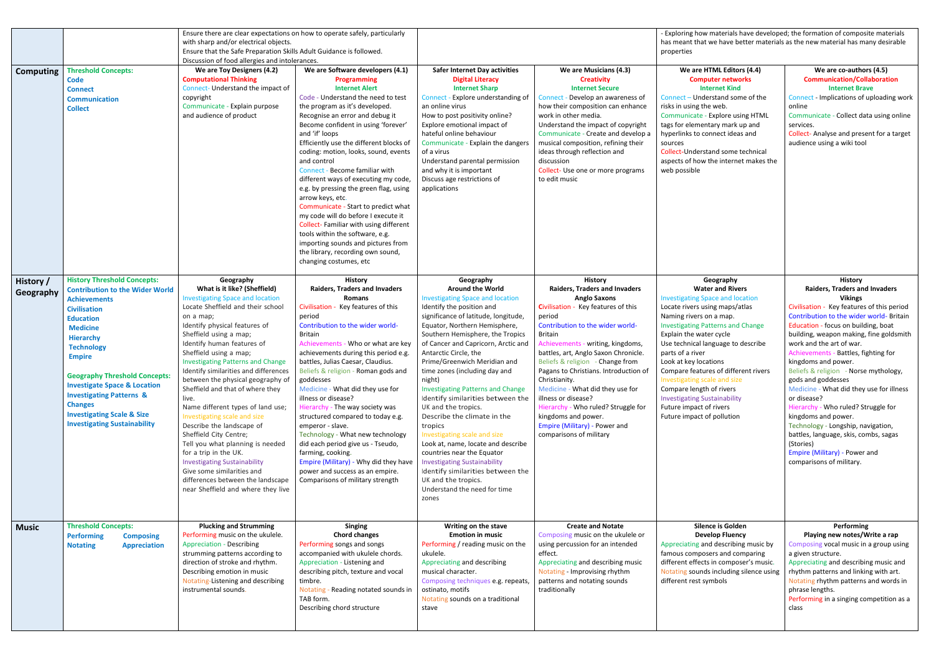| <b>Computing</b>       | <b>Threshold Concepts:</b><br><b>Code</b><br><b>Connect</b><br><b>Communication</b><br><b>Collect</b>                                                                                                                                                                                                                                                                                                                                                   | Ensure there are clear expectations on how to operate safely, particularly<br>with sharp and/or electrical objects.<br>Ensure that the Safe Preparation Skills Adult Guidance is followed.<br>Discussion of food allergies and intolerances.<br>We are Toy Designers (4.2)<br><b>Computational Thinking</b><br>Connect- Understand the impact of<br>copyright<br>Communicate - Explain purpose<br>and audience of product                                                                                                                                                                                                                                                                                                                                                 | We are Software developers (4.1)<br>Programming<br><b>Internet Alert</b><br>Code - Understand the need to test<br>the program as it's developed.<br>Recognise an error and debug it<br>Become confident in using 'forever'<br>and 'if' loops<br>Efficiently use the different blocks of<br>coding: motion, looks, sound, events<br>and control<br>Connect - Become familiar with<br>different ways of executing my code,<br>e.g. by pressing the green flag, using<br>arrow keys, etc.<br>Communicate - Start to predict what<br>my code will do before I execute it<br>Collect-Familiar with using different<br>tools within the software, e.g.<br>importing sounds and pictures from<br>the library, recording own sound,<br>changing costumes, etc | <b>Safer Internet Day activities</b><br><b>Digital Literacy</b><br><b>Internet Sharp</b><br>Connect - Explore understanding of<br>an online virus<br>How to post positivity online?<br>Explore emotional impact of<br>hateful online behaviour<br>Communicate - Explain the dangers<br>of a virus<br>Understand parental permission<br>and why it is important<br>Discuss age restrictions of<br>applications                                                                                                                                                                                                                                                                                                                                                          | We are Musicians (4.3)<br><b>Creativity</b><br><b>Internet Secure</b><br>Connect - Develop an awareness of<br>how their composition can enhance<br>work in other media.<br>Understand the impact of copyright<br>Communicate - Create and develop a<br>musical composition, refining their<br>ideas through reflection and<br>discussion<br>Collect- Use one or more programs<br>to edit music                                                                                                                                                       | - Exploring how materials h<br>has meant that we have be<br>properties<br>We are HTML Editor<br><b>Computer netwo</b><br><b>Internet Kind</b><br>Connect - Understand son<br>risks in using the web.<br>Communicate - Explore usi<br>tags for elementary mark u<br>hyperlinks to connect idea:<br>sources<br><b>Collect-Understand some t</b><br>aspects of how the interne<br>web possible                                                                           |
|------------------------|---------------------------------------------------------------------------------------------------------------------------------------------------------------------------------------------------------------------------------------------------------------------------------------------------------------------------------------------------------------------------------------------------------------------------------------------------------|---------------------------------------------------------------------------------------------------------------------------------------------------------------------------------------------------------------------------------------------------------------------------------------------------------------------------------------------------------------------------------------------------------------------------------------------------------------------------------------------------------------------------------------------------------------------------------------------------------------------------------------------------------------------------------------------------------------------------------------------------------------------------|-------------------------------------------------------------------------------------------------------------------------------------------------------------------------------------------------------------------------------------------------------------------------------------------------------------------------------------------------------------------------------------------------------------------------------------------------------------------------------------------------------------------------------------------------------------------------------------------------------------------------------------------------------------------------------------------------------------------------------------------------------|------------------------------------------------------------------------------------------------------------------------------------------------------------------------------------------------------------------------------------------------------------------------------------------------------------------------------------------------------------------------------------------------------------------------------------------------------------------------------------------------------------------------------------------------------------------------------------------------------------------------------------------------------------------------------------------------------------------------------------------------------------------------|------------------------------------------------------------------------------------------------------------------------------------------------------------------------------------------------------------------------------------------------------------------------------------------------------------------------------------------------------------------------------------------------------------------------------------------------------------------------------------------------------------------------------------------------------|-----------------------------------------------------------------------------------------------------------------------------------------------------------------------------------------------------------------------------------------------------------------------------------------------------------------------------------------------------------------------------------------------------------------------------------------------------------------------|
| History /<br>Geography | <b>History Threshold Concepts:</b><br><b>Contribution to the Wider World</b><br><b>Achievements</b><br><b>Civilisation</b><br><b>Education</b><br><b>Medicine</b><br><b>Hierarchy</b><br><b>Technology</b><br><b>Empire</b><br><b>Geography Threshold Concepts:</b><br><b>Investigate Space &amp; Location</b><br><b>Investigating Patterns &amp;</b><br><b>Changes</b><br><b>Investigating Scale &amp; Size</b><br><b>Investigating Sustainability</b> | Geography<br>What is it like? (Sheffield)<br><b>Investigating Space and location</b><br>Locate Sheffield and their school<br>on a map;<br>Identify physical features of<br>Sheffield using a map;<br>Identify human features of<br>Sheffield using a map;<br><b>Investigating Patterns and Change</b><br>Identify similarities and differences<br>between the physical geography of<br>Sheffield and that of where they<br>live.<br>Name different types of land use;<br>Investigating scale and size<br>Describe the landscape of<br>Sheffield City Centre;<br>Tell you what planning is needed<br>for a trip in the UK.<br><b>Investigating Sustainability</b><br>Give some similarities and<br>differences between the landscape<br>near Sheffield and where they live | History<br><b>Raiders, Traders and Invaders</b><br><b>Romans</b><br>Civilisation - Key features of this<br>period<br>Contribution to the wider world-<br><b>Britain</b><br>Achievements - Who or what are key<br>achievements during this period e.g.<br>battles, Julias Caesar, Claudius.<br>Beliefs & religion - Roman gods and<br>goddesses<br>Medicine - What did they use for<br>illness or disease?<br>Hierarchy - The way society was<br>structured compared to today e.g.<br>emperor - slave.<br>Technology - What new technology<br>did each period give us - Tseudo,<br>farming, cooking.<br>Empire (Military) - Why did they have<br>power and success as an empire.<br>Comparisons of military strength                                   | Geography<br><b>Around the World</b><br><b>Investigating Space and location</b><br>Identify the position and<br>significance of latitude, longitude,<br>Equator, Northern Hemisphere,<br>Southern Hemisphere, the Tropics<br>of Cancer and Capricorn, Arctic and<br>Antarctic Circle, the<br>Prime/Greenwich Meridian and<br>time zones (including day and<br>night)<br><b>Investigating Patterns and Change</b><br>Identify similarities between the<br>UK and the tropics.<br>Describe the climate in the<br>tropics<br>Investigating scale and size<br>Look at, name, locate and describe<br>countries near the Equator<br><b>Investigating Sustainability</b><br>Identify similarities between the<br>UK and the tropics.<br>Understand the need for time<br>zones | <b>History</b><br><b>Raiders, Traders and Invaders</b><br><b>Anglo Saxons</b><br>Civilisation - Key features of this<br>period<br>Contribution to the wider world-<br><b>Britain</b><br>Achievements - writing, kingdoms,<br>battles, art, Anglo Saxon Chronicle.<br>Beliefs & religion - Change from<br>Pagans to Christians. Introduction of<br>Christianity.<br>Medicine - What did they use for<br>illness or disease?<br>Hierarchy - Who ruled? Struggle for<br>kingdoms and power.<br>Empire (Military) - Power and<br>comparisons of military | Geography<br><b>Water and Rive</b><br><b>Investigating Space and loo</b><br>Locate rivers using maps/a<br>Naming rivers on a map.<br><b>Investigating Patterns and</b><br>Explain the water cycle<br>Use technical language to<br>parts of a river<br>Look at key locations<br>Compare features of differ<br>Investigating scale and size<br>Compare length of rivers<br><b>Investigating Sustainability</b><br>Future impact of rivers<br>Future impact of pollution |
| <b>Music</b>           | <b>Threshold Concepts:</b><br><b>Performing</b><br><b>Composing</b><br><b>Appreciation</b><br><b>Notating</b>                                                                                                                                                                                                                                                                                                                                           | <b>Plucking and Strumming</b><br>Performing music on the ukulele.<br><b>Appreciation - Describing</b><br>strumming patterns according to<br>direction of stroke and rhythm.<br>Describing emotion in music<br>Notating-Listening and describing<br>instrumental sounds.                                                                                                                                                                                                                                                                                                                                                                                                                                                                                                   | Singing<br><b>Chord changes</b><br>Performing songs and songs<br>accompanied with ukulele chords.<br>Appreciation - Listening and<br>describing pitch, texture and vocal<br>timbre.<br>Notating - Reading notated sounds in<br>TAB form.<br>Describing chord structure                                                                                                                                                                                                                                                                                                                                                                                                                                                                                | Writing on the stave<br><b>Emotion in music</b><br>Performing / reading music on the<br>ukulele.<br>Appreciating and describing<br>musical character.<br>Composing techniques e.g. repeats,<br>ostinato, motifs<br>Notating sounds on a traditional<br>stave                                                                                                                                                                                                                                                                                                                                                                                                                                                                                                           | <b>Create and Notate</b><br>Composing music on the ukulele or<br>using percussion for an intended<br>effect.<br>Appreciating and describing music<br>Notating - Improvising rhythm<br>patterns and notating sounds<br>traditionally                                                                                                                                                                                                                                                                                                                  | Silence is Golde<br><b>Develop Fluend</b><br>Appreciating and describin<br>famous composers and cor<br>different effects in compos<br>Notating sounds including<br>different rest symbols                                                                                                                                                                                                                                                                             |

w materials have developed; the formation of composite materials t we have better materials as the new material has many desirable

| We are HTML Editors (4.4)                                                         | We are co-authors (4.5)                                 |
|-----------------------------------------------------------------------------------|---------------------------------------------------------|
| <b>Computer networks</b>                                                          | <b>Communication/Collaboration</b>                      |
| <b>Internet Kind</b>                                                              | <b>Internet Brave</b>                                   |
| Connect - Understand some of the                                                  | Connect - Implications of uploading work                |
| risks in using the web.                                                           | online                                                  |
| Communicate - Explore using HTML                                                  | Communicate - Collect data using online                 |
| tags for elementary mark up and                                                   | services.                                               |
| hyperlinks to connect ideas and                                                   | Collect-Analyse and present for a target                |
| sources                                                                           | audience using a wiki tool                              |
| Collect-Understand some technical                                                 |                                                         |
| aspects of how the internet makes the                                             |                                                         |
| web possible                                                                      |                                                         |
|                                                                                   |                                                         |
|                                                                                   |                                                         |
|                                                                                   |                                                         |
|                                                                                   |                                                         |
|                                                                                   |                                                         |
|                                                                                   |                                                         |
|                                                                                   |                                                         |
|                                                                                   |                                                         |
|                                                                                   |                                                         |
|                                                                                   |                                                         |
|                                                                                   |                                                         |
|                                                                                   |                                                         |
| Geography                                                                         | <b>History</b>                                          |
| <b>Water and Rivers</b>                                                           | <b>Raiders, Traders and Invaders</b>                    |
| <b>Investigating Space and location</b>                                           | <b>Vikings</b>                                          |
| Locate rivers using maps/atlas                                                    | Civilisation - Key features of this period              |
| Naming rivers on a map.                                                           | Contribution to the wider world- Britain                |
| <b>Investigating Patterns and Change</b>                                          | Education - focus on building, boat                     |
| Explain the water cycle                                                           | building, weapon making, fine goldsmith                 |
| Use technical language to describe                                                | work and the art of war.                                |
| parts of a river                                                                  | Achievements - Battles, fighting for                    |
|                                                                                   |                                                         |
| Look at key locations                                                             | kingdoms and power.                                     |
|                                                                                   |                                                         |
| Compare features of different rivers                                              | Beliefs & religion - Norse mythology,                   |
| Investigating scale and size                                                      | gods and goddesses                                      |
| Compare length of rivers                                                          | Medicine - What did they use for illness<br>or disease? |
| <b>Investigating Sustainability</b>                                               |                                                         |
| Future impact of rivers                                                           | Hierarchy - Who ruled? Struggle for                     |
| Future impact of pollution                                                        | kingdoms and power.                                     |
|                                                                                   | Technology - Longship, navigation,                      |
|                                                                                   | battles, language, skis, combs, sagas                   |
|                                                                                   | (Stories)                                               |
|                                                                                   | Empire (Military) - Power and                           |
|                                                                                   | comparisons of military.                                |
|                                                                                   |                                                         |
|                                                                                   |                                                         |
|                                                                                   |                                                         |
|                                                                                   |                                                         |
|                                                                                   |                                                         |
| <b>Silence is Golden</b>                                                          |                                                         |
|                                                                                   | Performing                                              |
| <b>Develop Fluency</b>                                                            | Playing new notes/Write a rap                           |
| Appreciating and describing music by                                              | Composing vocal music in a group using                  |
| famous composers and comparing                                                    | a given structure.                                      |
|                                                                                   | Appreciating and describing music and                   |
| different effects in composer's music.<br>Notating sounds including silence using | rhythm patterns and linking with art.                   |
| different rest symbols                                                            | Notating rhythm patterns and words in                   |
|                                                                                   | phrase lengths.                                         |
|                                                                                   | Performing in a singing competition as a                |
|                                                                                   | class                                                   |